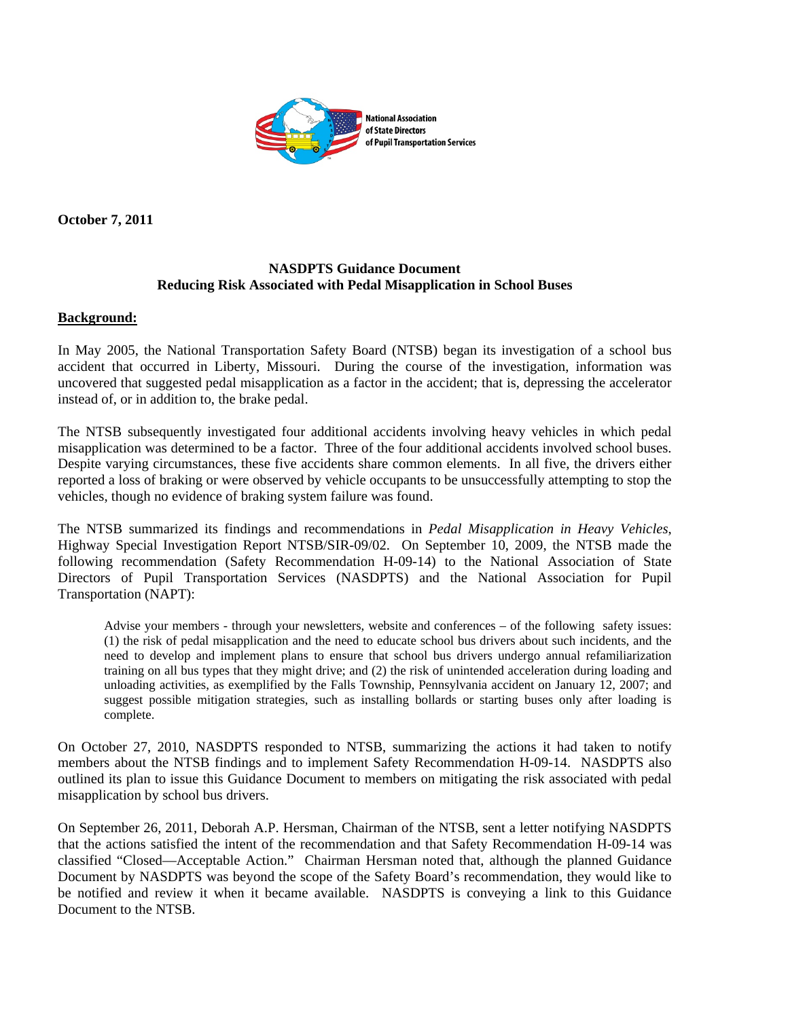

**October 7, 2011** 

## **NASDPTS Guidance Document Reducing Risk Associated with Pedal Misapplication in School Buses**

## **Background:**

In May 2005, the National Transportation Safety Board (NTSB) began its investigation of a school bus accident that occurred in Liberty, Missouri. During the course of the investigation, information was uncovered that suggested pedal misapplication as a factor in the accident; that is, depressing the accelerator instead of, or in addition to, the brake pedal.

The NTSB subsequently investigated four additional accidents involving heavy vehicles in which pedal misapplication was determined to be a factor. Three of the four additional accidents involved school buses. Despite varying circumstances, these five accidents share common elements. In all five, the drivers either reported a loss of braking or were observed by vehicle occupants to be unsuccessfully attempting to stop the vehicles, though no evidence of braking system failure was found.

The NTSB summarized its findings and recommendations in *Pedal Misapplication in Heavy Vehicles*, Highway Special Investigation Report NTSB/SIR-09/02. On September 10, 2009, the NTSB made the following recommendation (Safety Recommendation H-09-14) to the National Association of State Directors of Pupil Transportation Services (NASDPTS) and the National Association for Pupil Transportation (NAPT):

Advise your members - through your newsletters, website and conferences – of the following safety issues: (1) the risk of pedal misapplication and the need to educate school bus drivers about such incidents, and the need to develop and implement plans to ensure that school bus drivers undergo annual refamiliarization training on all bus types that they might drive; and (2) the risk of unintended acceleration during loading and unloading activities, as exemplified by the Falls Township, Pennsylvania accident on January 12, 2007; and suggest possible mitigation strategies, such as installing bollards or starting buses only after loading is complete.

On October 27, 2010, NASDPTS responded to NTSB, summarizing the actions it had taken to notify members about the NTSB findings and to implement Safety Recommendation H-09-14. NASDPTS also outlined its plan to issue this Guidance Document to members on mitigating the risk associated with pedal misapplication by school bus drivers.

On September 26, 2011, Deborah A.P. Hersman, Chairman of the NTSB, sent a letter notifying NASDPTS that the actions satisfied the intent of the recommendation and that Safety Recommendation H-09-14 was classified "Closed—Acceptable Action." Chairman Hersman noted that, although the planned Guidance Document by NASDPTS was beyond the scope of the Safety Board's recommendation, they would like to be notified and review it when it became available. NASDPTS is conveying a link to this Guidance Document to the NTSB.